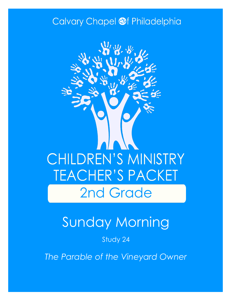### Calvary Chapel @f Philadelphia



# Sunday Morning

#### Study 24

*The Parable of the Vineyard Owner*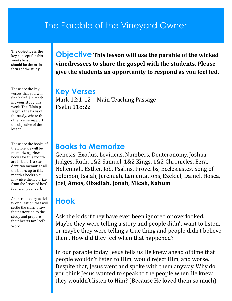### The Parable of the Vineyard Owner

The Objective is the key concept for this weeks lesson. It should be the main focus of the study

These are the key verses that you will find helpful in teaching your study this week. The "Main passage" is the basis of the study, where the other verse support the objective of the lesson.

These are the books of the Bible we will be memorizing. New books for this month are in bold. If a student can memorize all the books up to this month's books, you may give them a prize from the "reward box" found on your cart.

An introductory activity or question that will settle the class, draw their attention to the study and prepare their hearts for God's Word.

**Objective This lesson will use the parable of the wicked vinedressers to share the gospel with the students. Please give the students an opportunity to respond as you feel led.**

#### **Key Verses**

Mark 12:1-12—Main Teaching Passage Psalm 118:22

#### **Books to Memorize**

Genesis, Exodus, Leviticus, Numbers, Deuteronomy, Joshua, Judges, Ruth, 1&2 Samuel, 1&2 Kings, 1&2 Chronicles, Ezra, Nehemiah, Esther, Job, Psalms, Proverbs, Ecclesiastes, Song of Solomon, Isaiah, Jeremiah, Lamentations, Ezekiel, Daniel, Hosea, Joel, **Amos, Obadiah, Jonah, Micah, Nahum**

### **Hook**

Ask the kids if they have ever been ignored or overlooked. Maybe they were telling a story and people didn't want to listen, or maybe they were telling a true thing and people didn't believe them. How did they feel when that happened?

In our parable today, Jesus tells us He knew ahead of time that people wouldn't listen to Him, would reject Him, and worse. Despite that, Jesus went and spoke with them anyway. Why do you think Jesus wanted to speak to the people when He knew they wouldn't listen to Him? (Because He loved them so much).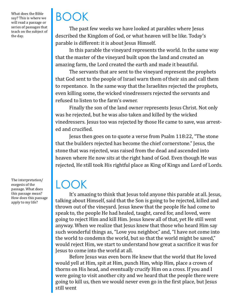What does the Bible say? This is where we will read a passage or series of passages that teach on the subject of the day.

BOOK

The past few weeks we have looked at parables where Jesus described the Kingdom of God, or what heaven will be like. Today's parable is different: it is about Jesus Himself.

In this parable the vineyard represents the world. In the same way that the master of the vineyard built upon the land and created an amazing farm, the Lord created the earth and made it beautiful.

The servants that are sent to the vineyard represent the prophets that God sent to the people of Israel warn them of their sin and call them to repentance. In the same way that the Israelites rejected the prophets, even killing some, the wicked vinedressers rejected the servants and refused to listen to the farm's owner.

Finally the son of the land owner represents Jesus Christ. Not only was he rejected, but he was also taken and killed by the wicked vinedressers. Jesus too was rejected by those He came to save, was arrested and crucified.

Jesus then goes on to quote a verse from Psalm 118:22, "The stone that the builders rejected has become the chief cornerstone." Jesus, the stone that was rejected, was raised from the dead and ascended into heaven where He now sits at the right hand of God. Even though He was rejected, He still took His rightful place as King of Kings and Lord of Lords.

## LOOK

It's amazing to think that Jesus told anyone this parable at all. Jesus, talking about Himself, said that the Son is going to be rejected, killed and thrown out of the vineyard. Jesus knew that the people He had come to speak to, the people He had healed, taught, cared for, and loved, were going to reject Him and kill Him. Jesus knew all of that, yet He still went anyway. When we realize that Jesus knew that those who heard Him say such wonderful things as, "Love you neighbor," and, "I have not come into the world to condemn the world, but so that the world might be saved," would reject Him, we start to understand how great a sacrifice it was for Jesus to come into the world at all.

Before Jesus was even born He knew that the world that He loved would yell at Him, spit at Him, punch Him, whip Him, place a crown of thorns on His head, and eventually crucify Him on a cross. If you and I were going to visit another city and we heard that the people there were going to kill us, then we would never even go in the first place, but Jesus still went

The interpretation/ exegesis of the passage. What does this passage mean? How does this passage apply to my life?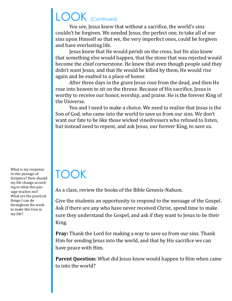## LOOK (Continued)

You see, Jesus knew that without a sacrifice, the world's sins couldn't be forgiven. We needed Jesus, the perfect one, to take all of our sins upon Himself so that we, the very imperfect ones, could be forgiven and have everlasting life.

Jesus knew that He would perish on the cross, but He also knew that something else would happen, that the stone that was rejected would become the chief cornerstone. He knew that even though people said they didn't want Jesus, and that He would be killed by them, He would rise again and be exalted to a place of honor.

After three days in the grave Jesus rose from the dead, and then He rose into heaven to sit on the throne. Because of His sacrifice, Jesus is worthy to receive our honor, worship, and praise. He is the forever King of the Universe.

You and I need to make a choice. We need to realize that Jesus is the Son of God, who came into the world to save us from our sins. We don't want our fate to be like those wicked vinedressers who refused to listen, but instead need to repent, and ask Jesus, our forever King, to save us.

# TOOK

As a class, review the books of the Bible Genesis-Nahum.

Give the students an opportunity to respond to the message of the Gospel. Ask if there are any who have never received Christ, spend time to make sure they understand the Gospel, and ask if they want to Jesus to be their King.

**Pray:** Thank the Lord for making a way to save us from our sins. Thank Him for sending Jesus into the world, and that by His sacrifice we can have peace with Him.

**Parent Question:** What did Jesus know would happen to Him when came to into the world?

What is my response to this passage of Scripture? How should my life change according to what this passage teaches me? What are the practical things I can do throughout the week to make this true in my life?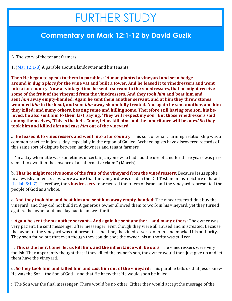## FURTHER STUDY

#### **Commentary on Mark 12:1-12 by David Guzik**

A. The story of the tenant farmers.

1. [\(Mar 12:1](https://www.blueletterbible.org/kjv/mark/12/1-8/s_969001)-8) A parable about a landowner and his tenants.

**Then He began to speak to them in parables: "A man planted a vineyard and set a hedge around** *it,* **dug** *a place for* **the wine vat and built a tower. And he leased it to vinedressers and went into a far country. Now at vintage-time he sent a servant to the vinedressers, that he might receive some of the fruit of the vineyard from the vinedressers. And they took** *him* **and beat him and sent** *him* **away empty-handed. Again he sent them another servant, and at him they threw stones, wounded** *him* **in the head, and sent** *him* **away shamefully treated. And again he sent another, and him they killed; and many others, beating some and killing some. Therefore still having one son, his beloved, he also sent him to them last, saying, 'They will respect my son.' But those vinedressers said among themselves, 'This is the heir. Come, let us kill him, and the inheritance will be ours.' So they took him and killed** *him* **and cast** *him* **out of the vineyard."**

a. **He leased it to vinedressers and went into a far country**: This sort of tenant farming relationship was a common practice in Jesus' day, especially in the region of Galilee. Archaeologists have discovered records of this same sort of dispute between landowners and tenant farmers.

i. "In a day when title was sometimes uncertain, anyone who had had the use of land for three years was presumed to own it in the absence of an alternative claim." (Morris)

b. **That he might receive some of the fruit of the vineyard from the vinedressers**: Because Jesus spoke to a Jewish audience, they were aware that the vineyard was used in the Old Testament as a picture of Israel [\(Isaiah 5:1](https://www.blueletterbible.org/kjv/isaiah/5/1-7/s_684001)-7). Therefore, the **vinedressers** represented the rulers of Israel and the vineyard represented the people of God as a whole.

c. **And they took him and beat him and sent him away empty-handed**: The vinedressers didn't buy the vineyard, and they did not build it. A generous owner allowed them to work in his vineyard, yet they turned against the owner and one day had to answer for it.

i. **Again he sent them another servant... And again he sent another... and many others**: The owner was very patient. He sent messenger after messenger, even though they were all abused and mistreated. Because the owner of the vineyard was not present at the time, the vinedressers doubted and mocked his authority. They soon found out that even though they couldn't see the owner, his authority was still real.

ii. **This is the heir. Come, let us kill him, and the inheritance will be ours**: The vinedressers were very foolish. They apparently thought that if they killed the owner's son, the owner would then just give up and let them have the vineyard.

d. **So they took him and killed him and cast him out of the vineyard**: This parable tells us that Jesus knew He was the Son – the Son of God – and that He knew that He would soon be killed.

i. The Son was the final messenger. There would be no other. Either they would accept the message of the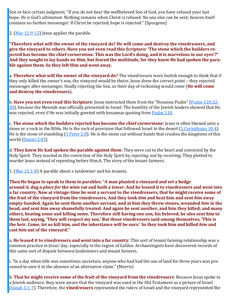Son or face certain judgment. "If you do not hear the wellbeloved Son of God, you have refused your last hope. *He is God's ultimatum*. Nothing remains when Christ is refused. No one else can be sent; heaven itself contains no further messenger. If Christ be rejected, hope is rejected." (Spurgeon)

2.  $(Mar 12:9-12)$  $(Mar 12:9-12)$  $(Mar 12:9-12)$  Jesus applies the parable.

**"Therefore what will the owner of the vineyard do? He will come and destroy the vinedressers, and give the vineyard to others. Have you not even read this Scripture: 'The stone which the builders rejected has become the chief cornerstone. This was the Lord's doing, and it is marvelous in our eyes'?" And they sought to lay hands on Him, but feared the multitude, for they knew He had spoken the parable against them. So they left Him and went away.**

a. **Therefore what will the owner of the vineyard do?** The vinedressers were foolish enough to think that if they only killed the owner's son, the vineyard would be theirs. Jesus drew the correct point – they rejected messenger after messenger, finally rejecting the Son, so their day of reckoning would come (**He will come and destroy the vinedressers**).

**b. Have you not even read this Scripture**: Jesus instructed them from the "Hosanna Psalm" [\(Psalm 118:22](https://www.blueletterbible.org/kjv/psalms/118/22-28/s_596022)-[28\)](https://www.blueletterbible.org/kjv/psalms/118/22-28/s_596022), because the Messiah was officially presented to Israel. The hostility of the Jewish leaders showed that He was rejected, even if He was initially greeted with hosannas quoting from [Psalm 118.](https://www.blueletterbible.org/kjv/psalms/118/1-29/s_596001)

c. **The stone which the builders rejected has become the chief cornerstone**: Jesus is often likened unto a stone or a rock in the Bible. He is the rock of provision that followed Israel in the desert [\(1 Corinthians 10:4\).](https://www.blueletterbible.org/kjv/1corinthians/10/4/s_1072004) He is the stone of stumbling ([1 Peter 2:8\)](https://www.blueletterbible.org/kjv/1peter/2/8/s_1153008). He is the stone cut without hands that crushes the kingdoms of this world [\(Daniel 2:45\)](https://www.blueletterbible.org/kjv/daniel/2/45/s_852045).

d. **They knew He had spoken the parable against them**: They were cut to the heart and convicted by the Holy Spirit. They reacted to the conviction of the Holy Spirit by *rejecting*, not by *receiving*. They plotted to murder Jesus instead of repenting before Him.A. The story of the tenant farmers.

1. ([Mar 12:1](https://www.blueletterbible.org/kjv/mark/12/1-8/s_969001)-8) A parable about a landowner and his tenants.

**Then He began to speak to them in parables: "A man planted a vineyard and set a hedge around** *it,* **dug** *a place for* **the wine vat and built a tower. And he leased it to vinedressers and went into a far country. Now at vintage-time he sent a servant to the vinedressers, that he might receive some of the fruit of the vineyard from the vinedressers. And they took** *him* **and beat him and sent** *him* **away empty-handed. Again he sent them another servant, and at him they threw stones, wounded** *him* **in the head, and sent** *him* **away shamefully treated. And again he sent another, and him they killed; and many others, beating some and killing some. Therefore still having one son, his beloved, he also sent him to them last, saying, 'They will respect my son.' But those vinedressers said among themselves, 'This is the heir. Come, let us kill him, and the inheritance will be ours.' So they took him and killed** *him* **and cast** *him* **out of the vineyard."**

a. **He leased it to vinedressers and went into a far country**: This sort of tenant farming relationship was a common practice in Jesus' day, especially in the region of Galilee. Archaeologists have discovered records of this same sort of dispute between landowners and tenant farmers.

i. "In a day when title was sometimes uncertain, anyone who had had the use of land for three years was presumed to own it in the absence of an alternative claim." (Morris)

b. **That he might receive some of the fruit of the vineyard from the vinedressers**: Because Jesus spoke to a Jewish audience, they were aware that the vineyard was used in the Old Testament as a picture of Israel [\(Isaiah 5:1](https://www.blueletterbible.org/kjv/isaiah/5/1-7/s_684001)-7). Therefore, the **vinedressers** represented the rulers of Israel and the vineyard represented the